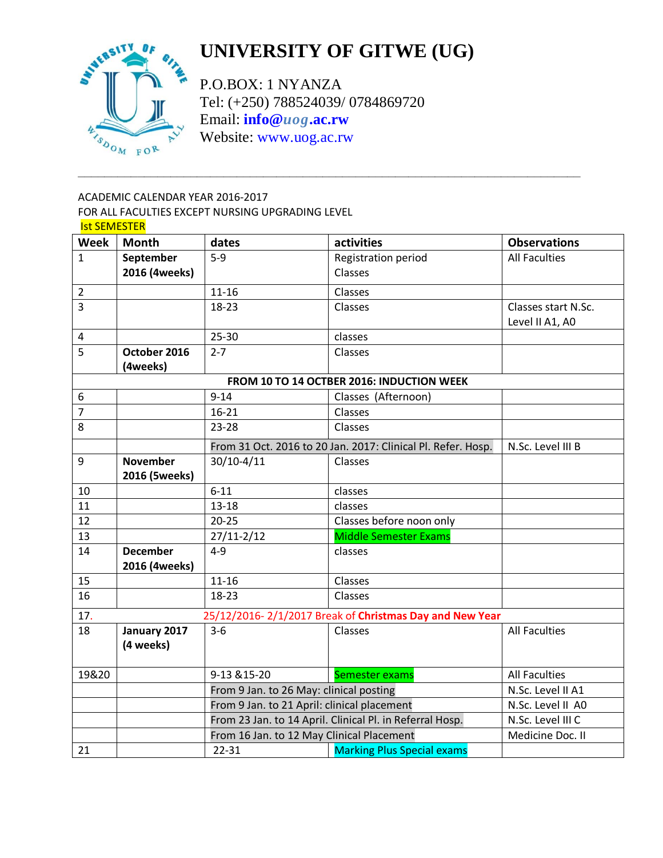

# **UNIVERSITY OF GITWE (UG)**

P.O.BOX: 1 NYANZA Tel: (+250) 788524039/ 0784869720 Email: **info@***uog***[.ac.rw](mailto:info@uog.ac.rw)** Website: [www.uog.ac.rw](http://www.uog.ac.rw/)

**\_\_\_\_\_\_\_\_\_\_\_\_\_\_\_\_\_\_\_\_\_\_\_\_\_\_\_\_\_\_\_\_\_\_\_\_\_\_\_\_\_\_\_\_\_\_\_\_\_\_\_\_\_\_\_\_\_\_\_\_\_\_\_\_\_\_\_\_\_\_\_\_\_\_\_\_**

### ACADEMIC CALENDAR YEAR 2016-2017 FOR ALL FACULTIES EXCEPT NURSING UPGRADING LEVEL Ist SEMESTER

| <b>Week</b>                                                    | <b>Month</b>    | dates                                                    | activities                                                   | <b>Observations</b>  |  |
|----------------------------------------------------------------|-----------------|----------------------------------------------------------|--------------------------------------------------------------|----------------------|--|
| $\mathbf{1}$                                                   | September       | $5-9$                                                    | Registration period                                          | <b>All Faculties</b> |  |
|                                                                | 2016 (4weeks)   |                                                          | Classes                                                      |                      |  |
| $\overline{2}$                                                 |                 | $11 - 16$                                                | Classes                                                      |                      |  |
| 3                                                              |                 | $18 - 23$                                                | Classes                                                      | Classes start N.Sc.  |  |
|                                                                |                 |                                                          |                                                              | Level II A1, A0      |  |
| $\overline{4}$                                                 |                 | $25 - 30$                                                | classes                                                      |                      |  |
| 5                                                              | October 2016    | $2 - 7$                                                  | Classes                                                      |                      |  |
|                                                                | (4weeks)        |                                                          |                                                              |                      |  |
|                                                                |                 |                                                          | FROM 10 TO 14 OCTBER 2016: INDUCTION WEEK                    |                      |  |
| 6                                                              |                 | $9 - 14$                                                 | Classes (Afternoon)                                          |                      |  |
| $\overline{7}$                                                 |                 | $16 - 21$                                                | Classes                                                      |                      |  |
| 8                                                              |                 | 23-28                                                    | Classes                                                      |                      |  |
|                                                                |                 |                                                          | From 31 Oct. 2016 to 20 Jan. 2017: Clinical Pl. Refer. Hosp. | N.Sc. Level III B    |  |
| 9                                                              | <b>November</b> | $30/10 - 4/11$                                           | Classes                                                      |                      |  |
|                                                                | 2016 (5weeks)   |                                                          |                                                              |                      |  |
| 10                                                             |                 | $6 - 11$                                                 | classes                                                      |                      |  |
| 11                                                             |                 | $13 - 18$                                                | classes                                                      |                      |  |
| 12                                                             |                 | $20 - 25$                                                | Classes before noon only                                     |                      |  |
| 13                                                             |                 | $27/11 - 2/12$                                           | <b>Middle Semester Exams</b>                                 |                      |  |
| 14                                                             | <b>December</b> | $4 - 9$                                                  | classes                                                      |                      |  |
|                                                                | 2016 (4weeks)   |                                                          |                                                              |                      |  |
| 15                                                             |                 | $11 - 16$                                                | Classes                                                      |                      |  |
| 16                                                             |                 | 18-23                                                    | Classes                                                      |                      |  |
| 17.<br>25/12/2016-2/1/2017 Break of Christmas Day and New Year |                 |                                                          |                                                              |                      |  |
| 18                                                             | January 2017    | $3 - 6$                                                  | Classes                                                      | <b>All Faculties</b> |  |
|                                                                | (4 weeks)       |                                                          |                                                              |                      |  |
|                                                                |                 |                                                          |                                                              |                      |  |
| 19&20                                                          |                 | 9-13 & 15-20                                             | Semester exams                                               | <b>All Faculties</b> |  |
|                                                                |                 | From 9 Jan. to 26 May: clinical posting                  | N.Sc. Level II A1                                            |                      |  |
|                                                                |                 | From 9 Jan. to 21 April: clinical placement              | N.Sc. Level II A0                                            |                      |  |
|                                                                |                 | From 23 Jan. to 14 April. Clinical Pl. in Referral Hosp. | N.Sc. Level III C                                            |                      |  |
|                                                                |                 | From 16 Jan. to 12 May Clinical Placement                | Medicine Doc. II                                             |                      |  |
| 21                                                             |                 | 22-31                                                    | <b>Marking Plus Special exams</b>                            |                      |  |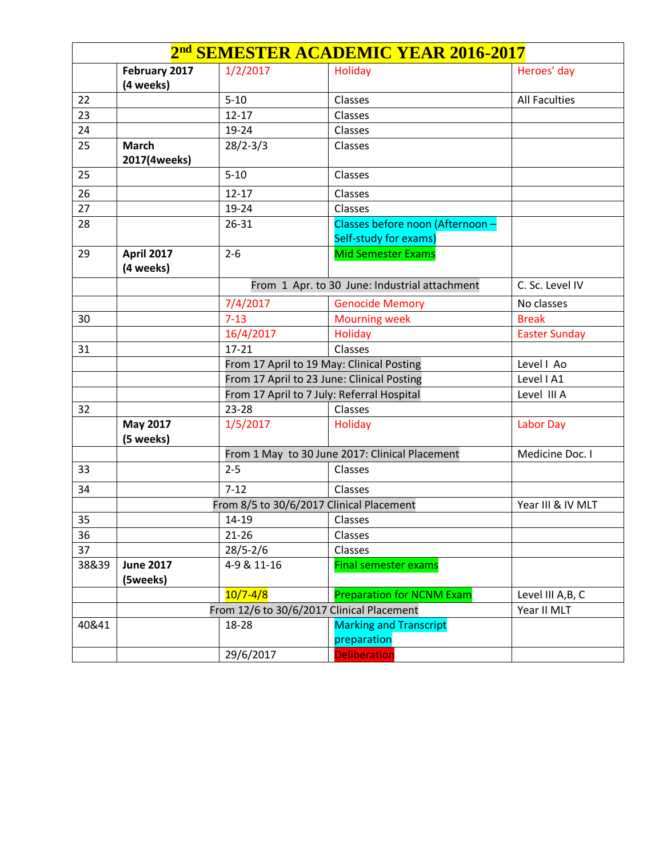|       | 2 <sup>nd</sup> SEMESTER ACADEMIC YEAR 2016-2017         |                                                           |                                                           |                      |  |  |
|-------|----------------------------------------------------------|-----------------------------------------------------------|-----------------------------------------------------------|----------------------|--|--|
|       | February 2017                                            | 1/2/2017                                                  | Holiday                                                   | Heroes' day          |  |  |
|       | (4 weeks)                                                |                                                           |                                                           |                      |  |  |
| 22    |                                                          | $5 - 10$                                                  | Classes                                                   | <b>All Faculties</b> |  |  |
| 23    |                                                          | $12 - 17$                                                 | Classes                                                   |                      |  |  |
| 24    |                                                          | 19-24                                                     | Classes                                                   |                      |  |  |
| 25    | <b>March</b><br>2017(4weeks)                             | $28/2 - 3/3$                                              | Classes                                                   |                      |  |  |
| 25    |                                                          | $5 - 10$                                                  | Classes                                                   |                      |  |  |
| 26    |                                                          | $12 - 17$                                                 | Classes                                                   |                      |  |  |
| 27    |                                                          | 19-24                                                     | Classes                                                   |                      |  |  |
| 28    |                                                          | 26-31                                                     | Classes before noon (Afternoon -<br>Self-study for exams) |                      |  |  |
| 29    | April 2017<br>(4 weeks)                                  | $2 - 6$                                                   | <b>Mid Semester Exams</b>                                 |                      |  |  |
|       |                                                          |                                                           | From 1 Apr. to 30 June: Industrial attachment             | C. Sc. Level IV      |  |  |
|       |                                                          | 7/4/2017                                                  | <b>Genocide Memory</b>                                    | No classes           |  |  |
| 30    |                                                          | $7 - 13$                                                  | <b>Mourning week</b>                                      | <b>Break</b>         |  |  |
|       |                                                          | 16/4/2017                                                 | Holiday                                                   | <b>Easter Sunday</b> |  |  |
| 31    |                                                          | $17 - 21$                                                 | Classes                                                   |                      |  |  |
|       |                                                          |                                                           | From 17 April to 19 May: Clinical Posting                 | Level   Ao           |  |  |
|       |                                                          | From 17 April to 23 June: Clinical Posting                | Level I A1                                                |                      |  |  |
|       |                                                          | From 17 April to 7 July: Referral Hospital<br>Level III A |                                                           |                      |  |  |
| 32    |                                                          | $23 - 28$                                                 | Classes                                                   |                      |  |  |
|       | <b>May 2017</b><br>(5 weeks)                             | 1/5/2017                                                  | Holiday                                                   | <b>Labor Day</b>     |  |  |
|       |                                                          |                                                           | From 1 May to 30 June 2017: Clinical Placement            | Medicine Doc. I      |  |  |
| 33    |                                                          | $2 - 5$                                                   | Classes                                                   |                      |  |  |
| 34    |                                                          | $7 - 12$                                                  | Classes                                                   |                      |  |  |
|       |                                                          |                                                           | From 8/5 to 30/6/2017 Clinical Placement                  | Year III & IV MLT    |  |  |
| 35    |                                                          | 14-19                                                     | Classes                                                   |                      |  |  |
| 36    |                                                          | $21 - 26$                                                 | Classes                                                   |                      |  |  |
| 37    |                                                          | $28/5 - 2/6$                                              | Classes                                                   |                      |  |  |
| 38&39 | <b>June 2017</b><br>(5weeks)                             | 4-9 & 11-16                                               | <b>Final semester exams</b>                               |                      |  |  |
|       |                                                          | $10/7 - 4/8$                                              | <b>Preparation for NCNM Exam</b>                          | Level III A, B, C    |  |  |
|       | From 12/6 to 30/6/2017 Clinical Placement<br>Year II MLT |                                                           |                                                           |                      |  |  |
| 40&41 |                                                          | 18-28                                                     | <b>Marking and Transcript</b>                             |                      |  |  |
|       |                                                          |                                                           | preparation                                               |                      |  |  |
|       |                                                          | 29/6/2017                                                 | <b>Deliberation</b>                                       |                      |  |  |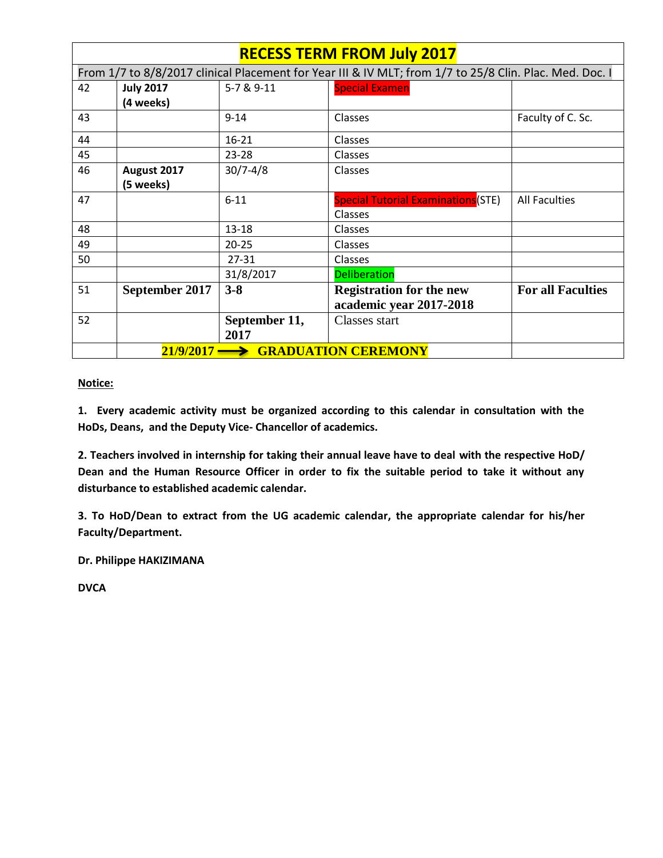|                                  | <b>RECESS TERM FROM July 2017</b>                                                                       |               |                                                            |                          |  |  |
|----------------------------------|---------------------------------------------------------------------------------------------------------|---------------|------------------------------------------------------------|--------------------------|--|--|
|                                  | From 1/7 to 8/8/2017 clinical Placement for Year III & IV MLT; from 1/7 to 25/8 Clin. Plac. Med. Doc. I |               |                                                            |                          |  |  |
| 42                               | <b>July 2017</b>                                                                                        | 5-7 & 9-11    | <b>Special Examen</b>                                      |                          |  |  |
|                                  | (4 weeks)                                                                                               |               |                                                            |                          |  |  |
| 43                               |                                                                                                         | $9 - 14$      | Classes                                                    | Faculty of C. Sc.        |  |  |
| 44                               |                                                                                                         | $16 - 21$     | Classes                                                    |                          |  |  |
| 45                               |                                                                                                         | 23-28         | <b>Classes</b>                                             |                          |  |  |
| 46                               | August 2017                                                                                             | $30/7 - 4/8$  | Classes                                                    |                          |  |  |
|                                  | (5 weeks)                                                                                               |               |                                                            |                          |  |  |
| 47                               |                                                                                                         | $6 - 11$      | <b>Special Tutorial Examinations</b> (STE)                 | <b>All Faculties</b>     |  |  |
|                                  |                                                                                                         |               | <b>Classes</b>                                             |                          |  |  |
| 48                               |                                                                                                         | 13-18         | <b>Classes</b>                                             |                          |  |  |
| 49                               |                                                                                                         | $20 - 25$     | Classes                                                    |                          |  |  |
| 50                               |                                                                                                         | 27-31         | Classes                                                    |                          |  |  |
|                                  |                                                                                                         | 31/8/2017     | <b>Deliberation</b>                                        |                          |  |  |
| 51                               | September 2017                                                                                          | $3 - 8$       | <b>Registration for the new</b><br>academic year 2017-2018 | <b>For all Faculties</b> |  |  |
| 52                               |                                                                                                         | September 11, | Classes start                                              |                          |  |  |
|                                  |                                                                                                         | 2017          |                                                            |                          |  |  |
| 21/9/2017<br>GRADUATION CEREMONY |                                                                                                         |               |                                                            |                          |  |  |

### **Notice:**

**1. Every academic activity must be organized according to this calendar in consultation with the HoDs, Deans, and the Deputy Vice- Chancellor of academics.**

**2. Teachers involved in internship for taking their annual leave have to deal with the respective HoD/ Dean and the Human Resource Officer in order to fix the suitable period to take it without any disturbance to established academic calendar.**

**3. To HoD/Dean to extract from the UG academic calendar, the appropriate calendar for his/her Faculty/Department.**

**Dr. Philippe HAKIZIMANA** 

**DVCA**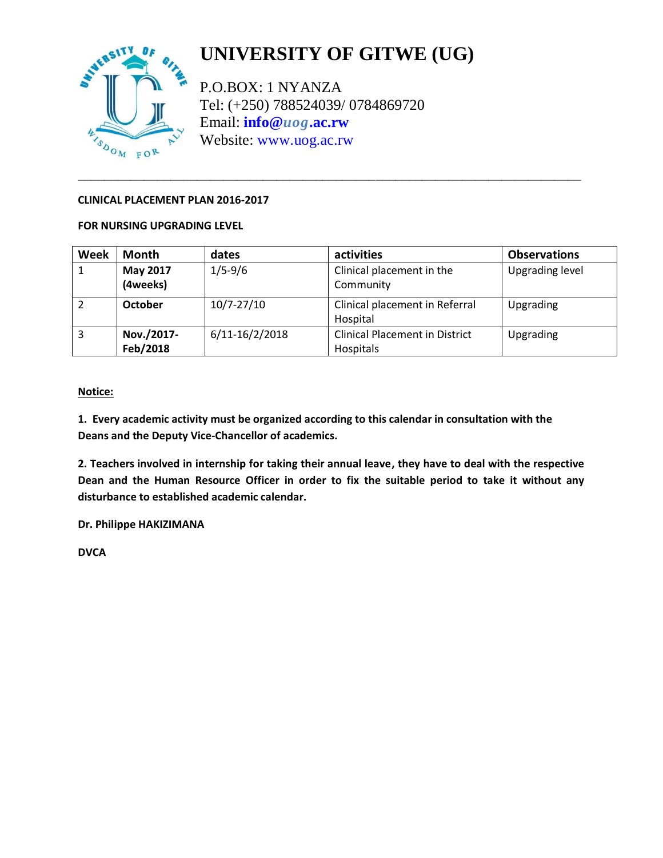

# **UNIVERSITY OF GITWE (UG)**

P.O.BOX: 1 NYANZA Tel: (+250) 788524039/ 0784869720 Email: **info@***uog***[.ac.rw](mailto:info@uog.ac.rw)** Website: [www.uog.ac.rw](http://www.uog.ac.rw/)

**\_\_\_\_\_\_\_\_\_\_\_\_\_\_\_\_\_\_\_\_\_\_\_\_\_\_\_\_\_\_\_\_\_\_\_\_\_\_\_\_\_\_\_\_\_\_\_\_\_\_\_\_\_\_\_\_\_\_\_\_\_\_\_\_\_\_\_\_\_\_\_\_\_\_\_\_**

#### **CLINICAL PLACEMENT PLAN 2016-2017**

#### **FOR NURSING UPGRADING LEVEL**

| Week | Month                  | dates              | activities                                         | <b>Observations</b> |
|------|------------------------|--------------------|----------------------------------------------------|---------------------|
|      | May 2017<br>(4weeks)   | $1/5 - 9/6$        | Clinical placement in the<br>Community             | Upgrading level     |
|      | October                | $10/7 - 27/10$     | Clinical placement in Referral<br>Hospital         | Upgrading           |
| 3    | Nov./2017-<br>Feb/2018 | $6/11 - 16/2/2018$ | <b>Clinical Placement in District</b><br>Hospitals | Upgrading           |

#### **Notice:**

**1. Every academic activity must be organized according to this calendar in consultation with the Deans and the Deputy Vice-Chancellor of academics.**

**2. Teachers involved in internship for taking their annual leave, they have to deal with the respective Dean and the Human Resource Officer in order to fix the suitable period to take it without any disturbance to established academic calendar.**

**Dr. Philippe HAKIZIMANA** 

**DVCA**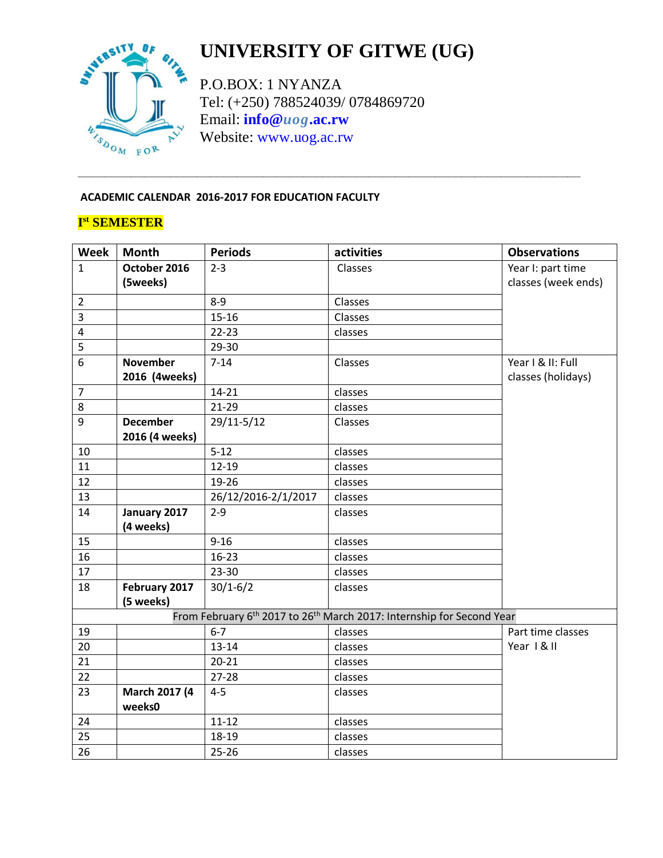

# **UNIVERSITY OF GITWE (UG)**

P.O.BOX: 1 NYANZA Tel: (+250) 788524039/ 0784869720 Email: **info@***uog***[.ac.rw](mailto:info@uog.ac.rw)** Website: [www.uog.ac.rw](http://www.uog.ac.rw/)

**\_\_\_\_\_\_\_\_\_\_\_\_\_\_\_\_\_\_\_\_\_\_\_\_\_\_\_\_\_\_\_\_\_\_\_\_\_\_\_\_\_\_\_\_\_\_\_\_\_\_\_\_\_\_\_\_\_\_\_\_\_\_\_\_\_\_\_\_\_\_\_\_\_\_\_\_**

### **ACADEMIC CALENDAR 2016-2017 FOR EDUCATION FACULTY**

## **I st SEMESTER**

| <b>Week</b>    | <b>Month</b>    | <b>Periods</b>      | activities                                                                                    | <b>Observations</b> |
|----------------|-----------------|---------------------|-----------------------------------------------------------------------------------------------|---------------------|
| $\mathbf{1}$   | October 2016    | $2 - 3$             | Classes                                                                                       | Year I: part time   |
|                | (5weeks)        |                     |                                                                                               | classes (week ends) |
| $\overline{2}$ |                 | $8 - 9$             | Classes                                                                                       |                     |
| $\overline{3}$ |                 | $15 - 16$           | Classes                                                                                       |                     |
| $\overline{4}$ |                 | $22 - 23$           | classes                                                                                       |                     |
| 5              |                 | 29-30               |                                                                                               |                     |
| 6              | <b>November</b> | $7 - 14$            | Classes                                                                                       | Year I & II: Full   |
|                | 2016 (4weeks)   |                     |                                                                                               | classes (holidays)  |
| $\overline{7}$ |                 | $14 - 21$           | classes                                                                                       |                     |
| 8              |                 | 21-29               | classes                                                                                       |                     |
| 9              | <b>December</b> | 29/11-5/12          | Classes                                                                                       |                     |
|                | 2016 (4 weeks)  |                     |                                                                                               |                     |
| 10             |                 | $5 - 12$            | classes                                                                                       |                     |
| 11             |                 | $12 - 19$           | classes                                                                                       |                     |
| 12             |                 | 19-26               | classes                                                                                       |                     |
| 13             |                 | 26/12/2016-2/1/2017 | classes                                                                                       |                     |
| 14             | January 2017    | $2 - 9$             | classes                                                                                       |                     |
|                | (4 weeks)       |                     |                                                                                               |                     |
| 15             |                 | $9 - 16$            | classes                                                                                       |                     |
| 16             |                 | $16 - 23$           | classes                                                                                       |                     |
| 17             |                 | 23-30               | classes                                                                                       |                     |
| 18             | February 2017   | $30/1 - 6/2$        | classes                                                                                       |                     |
|                | (5 weeks)       |                     |                                                                                               |                     |
|                |                 |                     | From February 6 <sup>th</sup> 2017 to 26 <sup>th</sup> March 2017: Internship for Second Year |                     |
| 19             |                 | $6 - 7$             | classes                                                                                       | Part time classes   |
| 20             |                 | $13 - 14$           | classes                                                                                       | Year   & II         |
| 21             |                 | $20 - 21$           | classes                                                                                       |                     |
| 22             |                 | $27 - 28$           | classes                                                                                       |                     |
| 23             | March 2017 (4   | $4 - 5$             | classes                                                                                       |                     |
|                | weeks0          |                     |                                                                                               |                     |
| 24             |                 | $11 - 12$           | classes                                                                                       |                     |
| 25             |                 | 18-19               | classes                                                                                       |                     |
| 26             |                 | $25 - 26$           | classes                                                                                       |                     |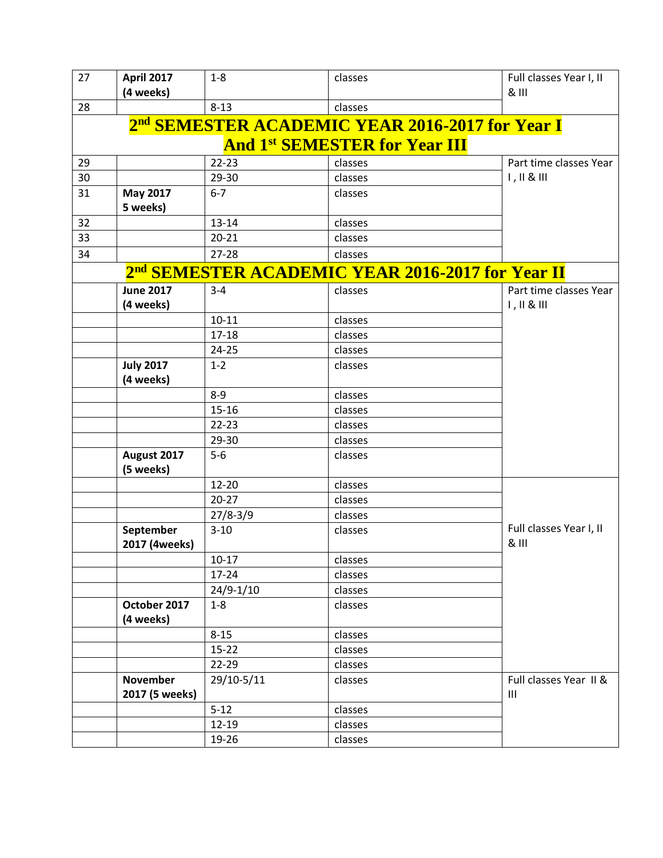| 27 | <b>April 2017</b>                                           | $1-8$         | classes                                                      | Full classes Year I, II                     |  |  |  |
|----|-------------------------------------------------------------|---------------|--------------------------------------------------------------|---------------------------------------------|--|--|--|
|    | (4 weeks)                                                   |               |                                                              | & III                                       |  |  |  |
| 28 |                                                             | $8 - 13$      | classes                                                      |                                             |  |  |  |
|    | 2 <sup>nd</sup> SEMESTER ACADEMIC YEAR 2016-2017 for Year I |               |                                                              |                                             |  |  |  |
|    | <b>And 1st SEMESTER for Year III</b>                        |               |                                                              |                                             |  |  |  |
| 29 |                                                             | $22 - 23$     | classes                                                      | Part time classes Year                      |  |  |  |
| 30 |                                                             | 29-30         | classes                                                      | $1, 11 & 8$ $111$                           |  |  |  |
| 31 | <b>May 2017</b><br>5 weeks)                                 | $6 - 7$       | classes                                                      |                                             |  |  |  |
| 32 |                                                             | 13-14         | classes                                                      |                                             |  |  |  |
| 33 |                                                             | $20 - 21$     | classes                                                      |                                             |  |  |  |
| 34 |                                                             | $27 - 28$     | classes                                                      |                                             |  |  |  |
|    |                                                             |               | 2 <sup>nd</sup> SEMESTER ACADEMIC YEAR 2016-2017 for Year II |                                             |  |  |  |
|    | <b>June 2017</b><br>(4 weeks)                               | $3 - 4$       | classes                                                      | Part time classes Year<br>$1, 11 & 8$ $111$ |  |  |  |
|    |                                                             | $10 - 11$     | classes                                                      |                                             |  |  |  |
|    |                                                             | $17 - 18$     | classes                                                      |                                             |  |  |  |
|    |                                                             | $24 - 25$     | classes                                                      |                                             |  |  |  |
|    | <b>July 2017</b>                                            | $1 - 2$       | classes                                                      |                                             |  |  |  |
|    | (4 weeks)                                                   |               |                                                              |                                             |  |  |  |
|    |                                                             | $8 - 9$       | classes                                                      |                                             |  |  |  |
|    |                                                             | $15 - 16$     | classes                                                      |                                             |  |  |  |
|    |                                                             | $22 - 23$     | classes                                                      |                                             |  |  |  |
|    |                                                             | 29-30         | classes                                                      |                                             |  |  |  |
|    | August 2017<br>(5 weeks)                                    | $5-6$         | classes                                                      |                                             |  |  |  |
|    |                                                             | 12-20         | classes                                                      |                                             |  |  |  |
|    |                                                             | $20 - 27$     | classes                                                      |                                             |  |  |  |
|    |                                                             | $27/8 - 3/9$  | classes                                                      |                                             |  |  |  |
|    | September<br>2017 (4weeks)                                  | $3 - 10$      | classes                                                      | Full classes Year I, II<br>& III            |  |  |  |
|    |                                                             | $10 - 17$     | classes                                                      |                                             |  |  |  |
|    |                                                             | 17-24         | classes                                                      |                                             |  |  |  |
|    |                                                             | $24/9 - 1/10$ | classes                                                      |                                             |  |  |  |
|    | October 2017<br>(4 weeks)                                   | $1 - 8$       | classes                                                      |                                             |  |  |  |
|    |                                                             | $8 - 15$      | classes                                                      |                                             |  |  |  |
|    |                                                             | $15 - 22$     | classes                                                      |                                             |  |  |  |
|    |                                                             | 22-29         | classes                                                      |                                             |  |  |  |
|    | November<br>2017 (5 weeks)                                  | 29/10-5/11    | classes                                                      | Full classes Year II &<br>$\mathbf{III}$    |  |  |  |
|    |                                                             | $5 - 12$      | classes                                                      |                                             |  |  |  |
|    |                                                             | $12 - 19$     | classes                                                      |                                             |  |  |  |
|    |                                                             | 19-26         | classes                                                      |                                             |  |  |  |